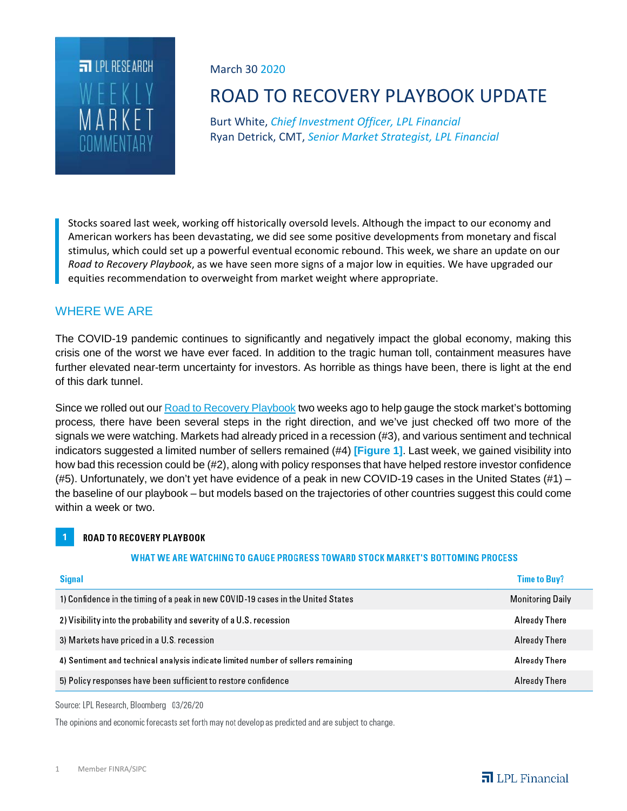

March 30 2020

# ROAD TO RECOVERY PLAYBOOK UPDATE

Burt White, *Chief Investment Officer, LPL Financial* Ryan Detrick, CMT, *Senior Market Strategist, LPL Financial*

Stocks soared last week, working off historically oversold levels. Although the impact to our economy and American workers has been devastating, we did see some positive developments from monetary and fiscal stimulus, which could set up a powerful eventual economic rebound. This week, we share an update on our *Road to Recovery Playbook*, as we have seen more signs of a major low in equities. We have upgraded our equities recommendation to overweight from market weight where appropriate.

# WHERE WE ARE

The COVID-19 pandemic continues to significantly and negatively impact the global economy, making this crisis one of the worst we have ever faced. In addition to the tragic human toll, containment measures have further elevated near-term uncertainty for investors. As horrible as things have been, there is light at the end of this dark tunnel.

Since we rolled out ou[r Road to Recovery Playbook](https://www.lpl.com/news-media/research-insights/weekly-market-commentary/road-to-recovery-playbook.html) two weeks ago to help gauge the stock market's bottoming process*,* there have been several steps in the right direction, and we've just checked off two more of the signals we were watching. Markets had already priced in a recession (#3), and various sentiment and technical indicators suggested a limited number of sellers remained (#4) **[Figure 1]**. Last week, we gained visibility into how bad this recession could be (#2), along with policy responses that have helped restore investor confidence (#5). Unfortunately, we don't yet have evidence of a peak in new COVID-19 cases in the United States (#1) – the baseline of our playbook – but models based on the trajectories of other countries suggest this could come within a week or two.

#### ROAD TO RECOVERY PLAYBOOK

#### WHAT WE ARE WATCHING TO GAUGE PROGRESS TOWARD STOCK MARKET'S BOTTOMING PROCESS

| Signal                                                                           | <b>Time to Buy?</b>     |
|----------------------------------------------------------------------------------|-------------------------|
| 1) Confidence in the timing of a peak in new COVID-19 cases in the United States | <b>Monitoring Daily</b> |
| 2) Visibility into the probability and severity of a U.S. recession              | Already There           |
| 3) Markets have priced in a U.S. recession                                       | Already There           |
| 4) Sentiment and technical analysis indicate limited number of sellers remaining | Already There           |
| 5) Policy responses have been sufficient to restore confidence                   | Already There           |

Source: LPL Research, Bloomberg 03/26/20

The opinions and economic forecasts set forth may not develop as predicted and are subject to change.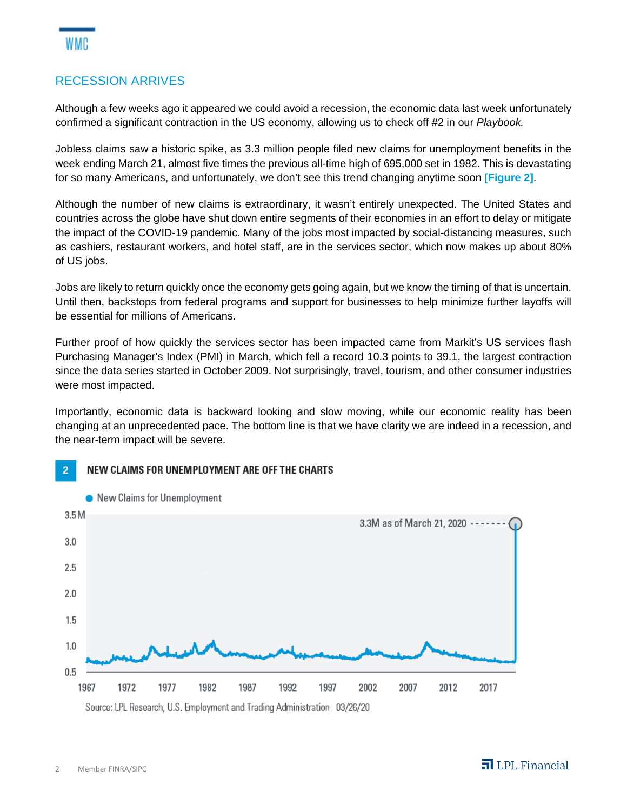## RECESSION ARRIVES

Although a few weeks ago it appeared we could avoid a recession, the economic data last week unfortunately confirmed a significant contraction in the US economy, allowing us to check off #2 in our *Playbook.*

Jobless claims saw a historic spike, as 3.3 million people filed new claims for unemployment benefits in the week ending March 21, almost five times the previous all-time high of 695,000 set in 1982. This is devastating for so many Americans, and unfortunately, we don't see this trend changing anytime soon **[Figure 2]**.

Although the number of new claims is extraordinary, it wasn't entirely unexpected. The United States and countries across the globe have shut down entire segments of their economies in an effort to delay or mitigate the impact of the COVID-19 pandemic. Many of the jobs most impacted by social-distancing measures, such as cashiers, restaurant workers, and hotel staff, are in the services sector, which now makes up about 80% of US jobs.

Jobs are likely to return quickly once the economy gets going again, but we know the timing of that is uncertain. Until then, backstops from federal programs and support for businesses to help minimize further layoffs will be essential for millions of Americans.

Further proof of how quickly the services sector has been impacted came from Markit's US services flash Purchasing Manager's Index (PMI) in March, which fell a record 10.3 points to 39.1, the largest contraction since the data series started in October 2009. Not surprisingly, travel, tourism, and other consumer industries were most impacted.

Importantly, economic data is backward looking and slow moving, while our economic reality has been changing at an unprecedented pace. The bottom line is that we have clarity we are indeed in a recession, and the near-term impact will be severe.

#### NEW CLAIMS FOR UNEMPLOYMENT ARE OFF THE CHARTS  $\overline{2}$

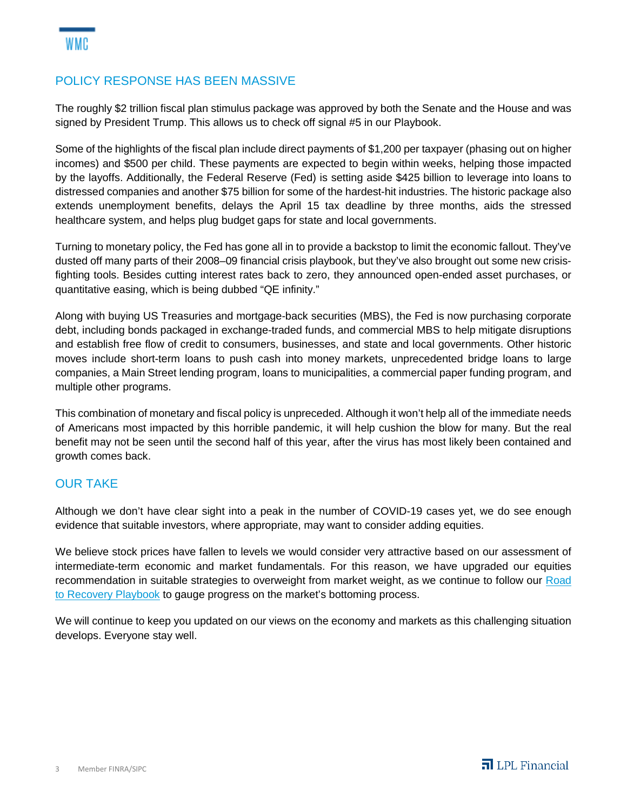## POLICY RESPONSE HAS BEEN MASSIVE

The roughly \$2 trillion fiscal plan stimulus package was approved by both the Senate and the House and was signed by President Trump. This allows us to check off signal #5 in our Playbook.

Some of the highlights of the fiscal plan include direct payments of \$1,200 per taxpayer (phasing out on higher incomes) and \$500 per child. These payments are expected to begin within weeks, helping those impacted by the layoffs. Additionally, the Federal Reserve (Fed) is setting aside \$425 billion to leverage into loans to distressed companies and another \$75 billion for some of the hardest-hit industries. The historic package also extends unemployment benefits, delays the April 15 tax deadline by three months, aids the stressed healthcare system, and helps plug budget gaps for state and local governments.

Turning to monetary policy, the Fed has gone all in to provide a backstop to limit the economic fallout. They've dusted off many parts of their 2008–09 financial crisis playbook, but they've also brought out some new crisisfighting tools. Besides cutting interest rates back to zero, they announced open-ended asset purchases, or quantitative easing, which is being dubbed "QE infinity."

Along with buying US Treasuries and mortgage-back securities (MBS), the Fed is now purchasing corporate debt, including bonds packaged in exchange-traded funds, and commercial MBS to help mitigate disruptions and establish free flow of credit to consumers, businesses, and state and local governments. Other historic moves include short-term loans to push cash into money markets, unprecedented bridge loans to large companies, a Main Street lending program, loans to municipalities, a commercial paper funding program, and multiple other programs.

This combination of monetary and fiscal policy is unpreceded. Although it won't help all of the immediate needs of Americans most impacted by this horrible pandemic, it will help cushion the blow for many. But the real benefit may not be seen until the second half of this year, after the virus has most likely been contained and growth comes back.

#### OUR TAKE

Although we don't have clear sight into a peak in the number of COVID-19 cases yet, we do see enough evidence that suitable investors, where appropriate, may want to consider adding equities.

We believe stock prices have fallen to levels we would consider very attractive based on our assessment of intermediate-term economic and market fundamentals. For this reason, we have upgraded our equities recommendation in suitable strategies to overweight from market weight, as we continue to follow our [Road](https://lplfinancial.webex.com/webappng/sites/lplfinancial/meeting/info/bd87c5bbe2c543a79c5a7b1e9b8196d7?siteurl=lplfinancial&MTID=m7a3f3bd95313080ba94a14da541c04d2&meetingAuthToken=QUhTSwAAAARAD6%2B8yyoHQlm3s%2B7NRpBC6FaxLJM%2BMhhKLQPImhh00P1ThoCixJ2MsH7hLM%2BZ6gXmX7eq6wM4wJyF4yPvSiD%2BQwmTga0iz%2BZDpArHJK5IFdpuL66fBvl6bh%2BYzqZCKeswC%2FWa629StCLNBr5tEJ29bhMWYS%2FovqDwti45SYaL9rPHL2QPBChxDJufkj2PFBHhRT9%2BoJyffdJzPHJ1jSVmMuGaWhtEhqiDOjK5rtPiyg%3D%3Dhttps://www.lpl.com/news-media/research-insights/weekly-market-commentary/road-to-recovery-playbook.html)  [to Recovery Playbook](https://lplfinancial.webex.com/webappng/sites/lplfinancial/meeting/info/bd87c5bbe2c543a79c5a7b1e9b8196d7?siteurl=lplfinancial&MTID=m7a3f3bd95313080ba94a14da541c04d2&meetingAuthToken=QUhTSwAAAARAD6%2B8yyoHQlm3s%2B7NRpBC6FaxLJM%2BMhhKLQPImhh00P1ThoCixJ2MsH7hLM%2BZ6gXmX7eq6wM4wJyF4yPvSiD%2BQwmTga0iz%2BZDpArHJK5IFdpuL66fBvl6bh%2BYzqZCKeswC%2FWa629StCLNBr5tEJ29bhMWYS%2FovqDwti45SYaL9rPHL2QPBChxDJufkj2PFBHhRT9%2BoJyffdJzPHJ1jSVmMuGaWhtEhqiDOjK5rtPiyg%3D%3Dhttps://www.lpl.com/news-media/research-insights/weekly-market-commentary/road-to-recovery-playbook.html) to gauge progress on the market's bottoming process.

We will continue to keep you updated on our views on the economy and markets as this challenging situation develops. Everyone stay well.